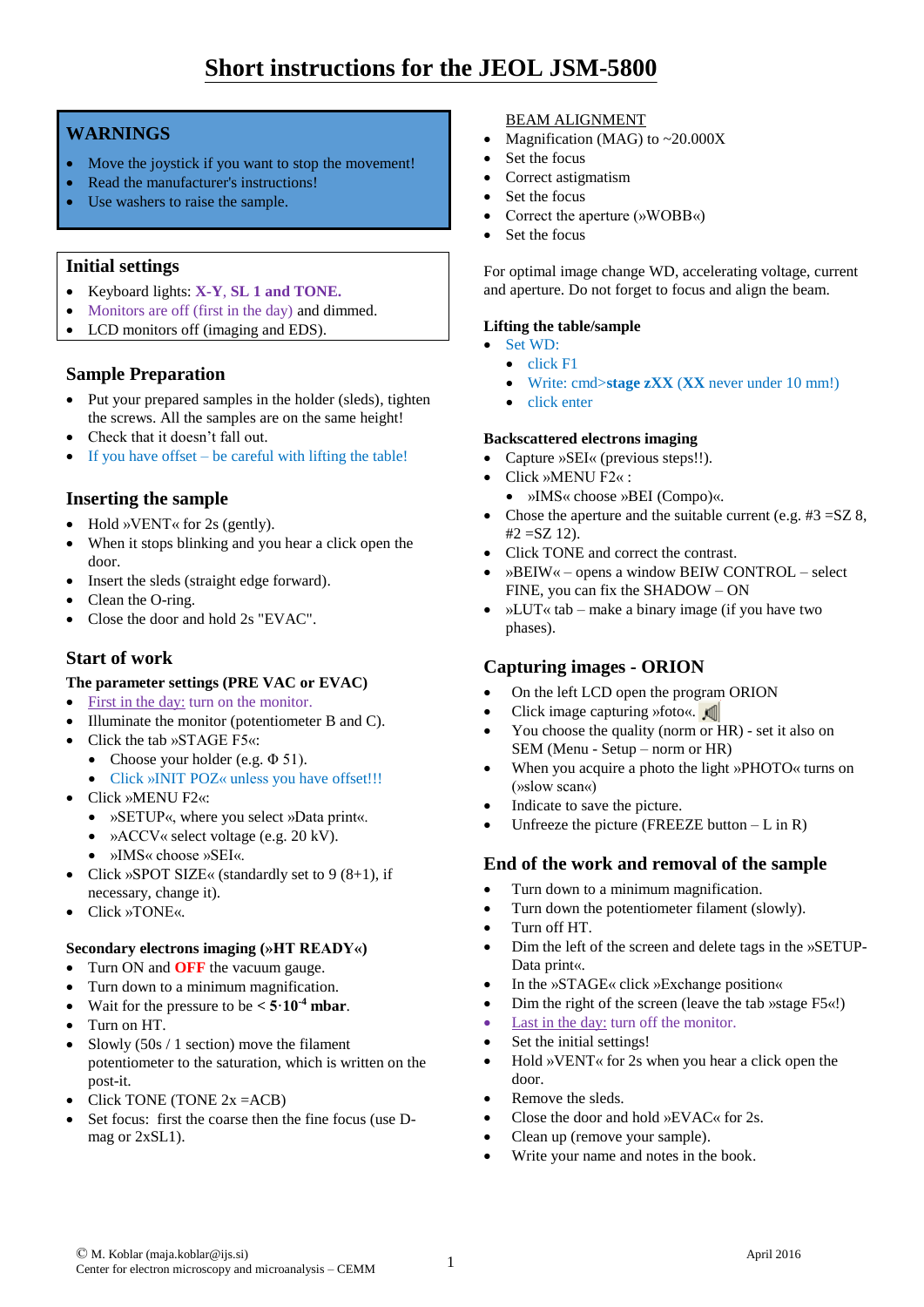# **Short instructions for the JEOL JSM-5800**

## **WARNINGS**

- Move the joystick if you want to stop the movement!
- Read the manufacturer's instructions!
- Use washers to raise the sample.

## **Initial settings**

- Keyboard lights: **X-Y**, **SL 1 and TONE.**
- Monitors are off (first in the day) and dimmed.
- LCD monitors off (imaging and EDS).

## **Sample Preparation**

- Put your prepared samples in the holder (sleds), tighten the screws. All the samples are on the same height!
- Check that it doesn't fall out.
- $\bullet$  If you have offset be careful with lifting the table!

# **Inserting the sample**

- Hold »VENT« for 2s (gently).
- When it stops blinking and you hear a click open the door.
- Insert the sleds (straight edge forward).
- Clean the O-ring.
- Close the door and hold 2s "EVAC".

## **Start of work**

#### **The parameter settings (PRE VAC or EVAC)**

- First in the day: turn on the monitor.
- Illuminate the monitor (potentiometer B and C).
- Click the tab »STAGE F5«:
- Choose your holder (e.g. Φ 51).
	- Click »INIT POZ« unless you have offset!!!
- Click »MENU F2«:
	- »SETUP«, where you select »Data print«.
	- »ACCV« select voltage (e.g. 20 kV).
	- »IMS« choose »SEI«.
- Click »SPOT SIZE« (standardly set to  $9(8+1)$ , if necessary, change it).
- Click »TONE«.

#### **Secondary electrons imaging (»HT READY«)**

- Turn ON and **OFF** the vacuum gauge.
- Turn down to a minimum magnification.
- Wait for the pressure to be  $\lt 5.10^{-4}$  mbar.
- Turn on HT.
- Slowly  $(50s / 1)$  section) move the filament potentiometer to the saturation, which is written on the post-it.
- Click TONE (TONE  $2x = ACB$ )
- Set focus: first the coarse then the fine focus (use Dmag or 2xSL1).

#### BEAM ALIGNMENT

- Magnification (MAG) to ~20.000X
- Set the focus
- Correct astigmatism
- Set the focus
- Correct the aperture (»WOBB«)
- Set the focus

For optimal image change WD, accelerating voltage, current and aperture. Do not forget to focus and align the beam.

#### **Lifting the table/sample**

- Set WD:  $\bullet$  click F1
	- Write: cmd>**stage zXX** (**XX** never under 10 mm!)
- click enter

#### **Backscattered electrons imaging**

- Capture »SEI« (previous steps!!).
- Click »MENU F2« :
	- »IMS« choose »BEI (Compo)«.
- Chose the aperture and the suitable current (e.g.  $#3 = SZ8$ ,  $#2 = SZ 12$ .
- Click TONE and correct the contrast.
- »BEIW« opens a window BEIW CONTROL select FINE, you can fix the SHADOW – ON
- »LUT« tab make a binary image (if you have two phases).

# **Capturing images - ORION**

- On the left LCD open the program ORION
- Click image capturing »foto«.
- You choose the quality (norm or HR) set it also on SEM (Menu - Setup – norm or HR)
- When you acquire a photo the light »PHOTO« turns on (»slow scan«)
- Indicate to save the picture.
- Unfreeze the picture (FREEZE button  $-L$  in R)

# **End of the work and removal of the sample**

- Turn down to a minimum magnification.
- Turn down the potentiometer filament (slowly).
- Turn off HT.
- Dim the left of the screen and delete tags in the »SETUP-Data print«.
- In the »STAGE« click »Exchange position«
- Dim the right of the screen (leave the tab »stage F5«!)
- Last in the day: turn off the monitor.
- Set the initial settings!
- Hold »VENT« for 2s when you hear a click open the door.
- Remove the sleds.
- Close the door and hold »EVAC« for 2s.
- Clean up (remove your sample).
- Write your name and notes in the book.